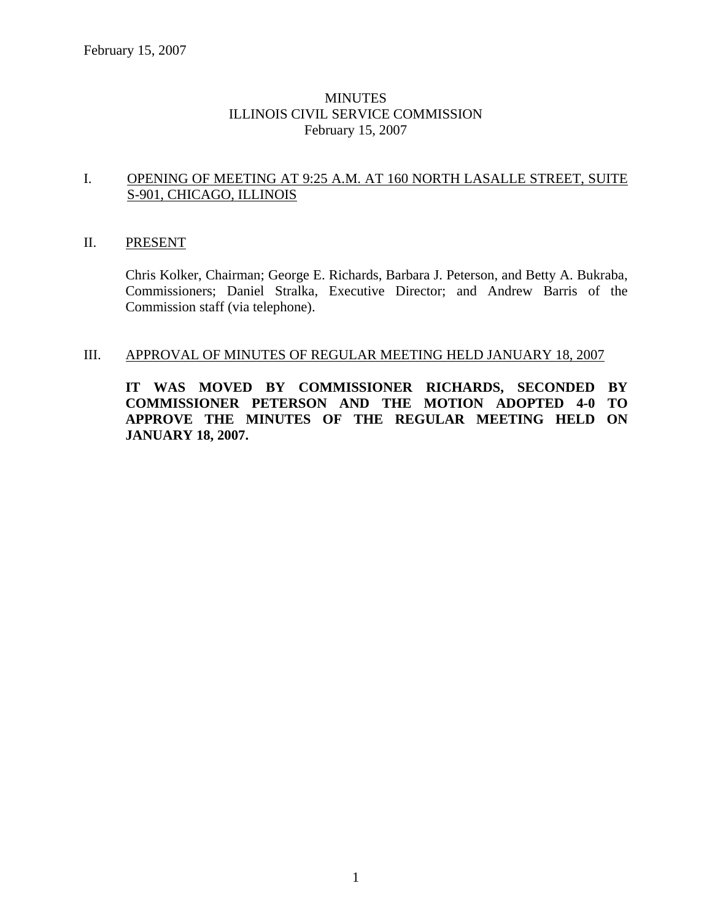### **MINUTES** ILLINOIS CIVIL SERVICE COMMISSION February 15, 2007

#### I. OPENING OF MEETING AT 9:25 A.M. AT 160 NORTH LASALLE STREET, SUITE S-901, CHICAGO, ILLINOIS

#### II. PRESENT

Chris Kolker, Chairman; George E. Richards, Barbara J. Peterson, and Betty A. Bukraba, Commissioners; Daniel Stralka, Executive Director; and Andrew Barris of the Commission staff (via telephone).

#### III. APPROVAL OF MINUTES OF REGULAR MEETING HELD JANUARY 18, 2007

**IT WAS MOVED BY COMMISSIONER RICHARDS, SECONDED BY COMMISSIONER PETERSON AND THE MOTION ADOPTED 4-0 TO APPROVE THE MINUTES OF THE REGULAR MEETING HELD ON JANUARY 18, 2007.**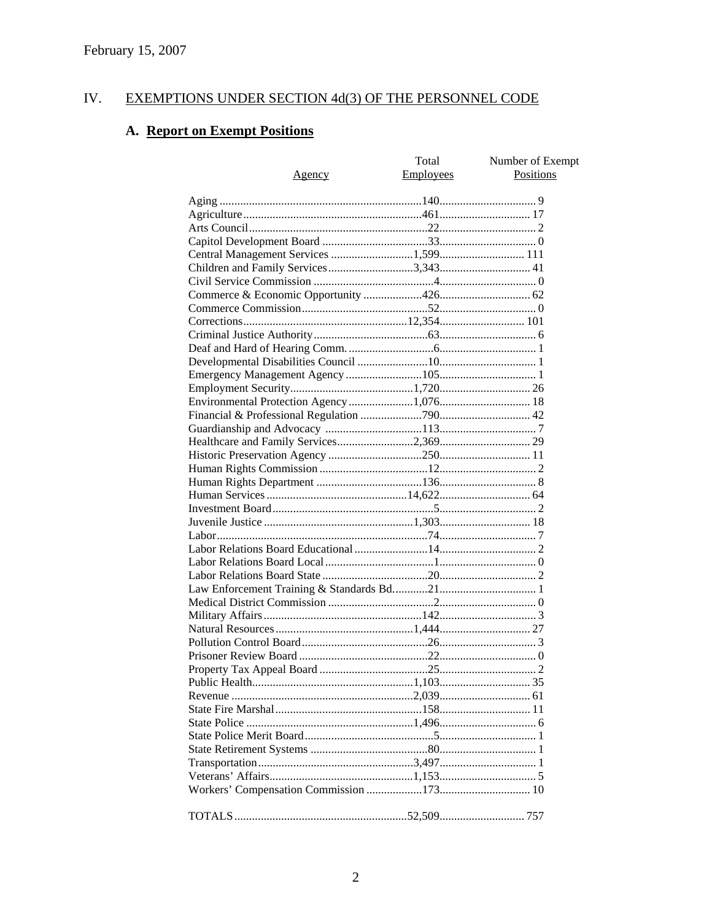#### IV. EXEMPTIONS UNDER SECTION 4d(3) OF THE PERSONNEL CODE

# A. Report on Exempt Positions

| Agency                                   | Total<br>Employees | Number of Exempt<br><b>Positions</b> |
|------------------------------------------|--------------------|--------------------------------------|
|                                          |                    |                                      |
|                                          |                    |                                      |
|                                          |                    |                                      |
|                                          |                    |                                      |
|                                          |                    |                                      |
|                                          |                    |                                      |
|                                          |                    |                                      |
|                                          |                    |                                      |
|                                          |                    |                                      |
|                                          |                    |                                      |
|                                          |                    |                                      |
|                                          |                    |                                      |
|                                          |                    |                                      |
|                                          |                    |                                      |
|                                          |                    |                                      |
|                                          |                    |                                      |
| Environmental Protection Agency 1,076 18 |                    |                                      |
|                                          |                    |                                      |
|                                          |                    |                                      |
|                                          |                    |                                      |
|                                          |                    |                                      |
|                                          |                    |                                      |
|                                          |                    |                                      |
|                                          |                    |                                      |
|                                          |                    |                                      |
|                                          |                    |                                      |
|                                          |                    |                                      |
|                                          |                    |                                      |
|                                          |                    |                                      |
|                                          |                    |                                      |
|                                          |                    |                                      |
|                                          |                    |                                      |
|                                          |                    |                                      |
|                                          |                    |                                      |
|                                          |                    |                                      |
|                                          |                    |                                      |
|                                          |                    |                                      |
|                                          |                    |                                      |
|                                          |                    |                                      |
|                                          |                    |                                      |
|                                          |                    |                                      |
|                                          |                    |                                      |
|                                          |                    |                                      |
|                                          |                    |                                      |
|                                          |                    |                                      |
|                                          |                    |                                      |
|                                          |                    |                                      |
|                                          |                    |                                      |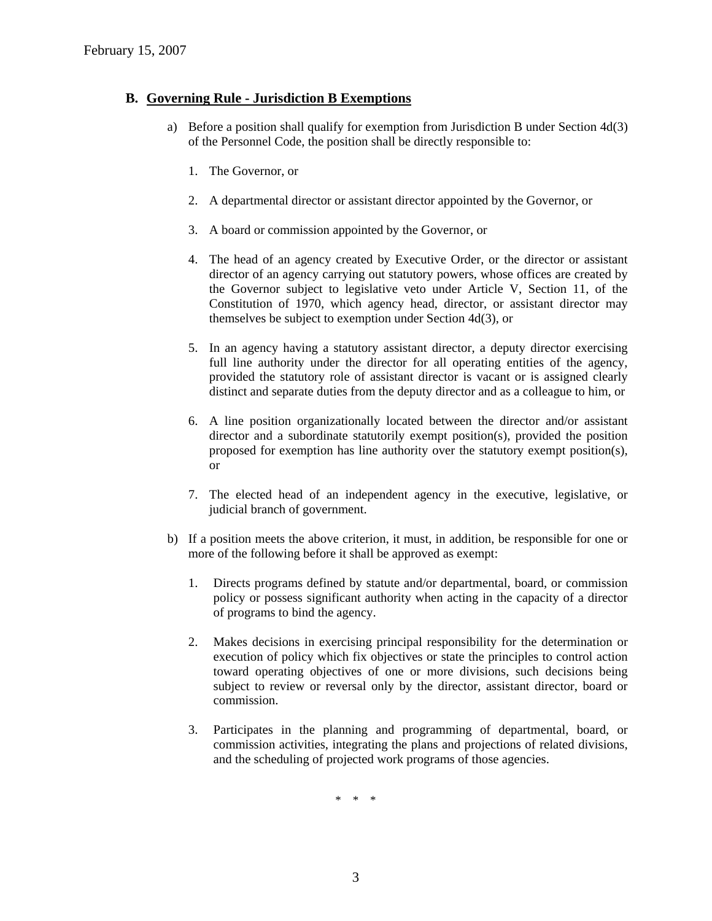#### **B. Governing Rule - Jurisdiction B Exemptions**

- a) Before a position shall qualify for exemption from Jurisdiction B under Section 4d(3) of the Personnel Code, the position shall be directly responsible to:
	- 1. The Governor, or
	- 2. A departmental director or assistant director appointed by the Governor, or
	- 3. A board or commission appointed by the Governor, or
	- 4. The head of an agency created by Executive Order, or the director or assistant director of an agency carrying out statutory powers, whose offices are created by the Governor subject to legislative veto under Article V, Section 11, of the Constitution of 1970, which agency head, director, or assistant director may themselves be subject to exemption under Section 4d(3), or
	- 5. In an agency having a statutory assistant director, a deputy director exercising full line authority under the director for all operating entities of the agency, provided the statutory role of assistant director is vacant or is assigned clearly distinct and separate duties from the deputy director and as a colleague to him, or
	- 6. A line position organizationally located between the director and/or assistant director and a subordinate statutorily exempt position(s), provided the position proposed for exemption has line authority over the statutory exempt position(s), or
	- 7. The elected head of an independent agency in the executive, legislative, or judicial branch of government.
- b) If a position meets the above criterion, it must, in addition, be responsible for one or more of the following before it shall be approved as exempt:
	- 1. Directs programs defined by statute and/or departmental, board, or commission policy or possess significant authority when acting in the capacity of a director of programs to bind the agency.
	- 2. Makes decisions in exercising principal responsibility for the determination or execution of policy which fix objectives or state the principles to control action toward operating objectives of one or more divisions, such decisions being subject to review or reversal only by the director, assistant director, board or commission.
	- 3. Participates in the planning and programming of departmental, board, or commission activities, integrating the plans and projections of related divisions, and the scheduling of projected work programs of those agencies.

\* \* \*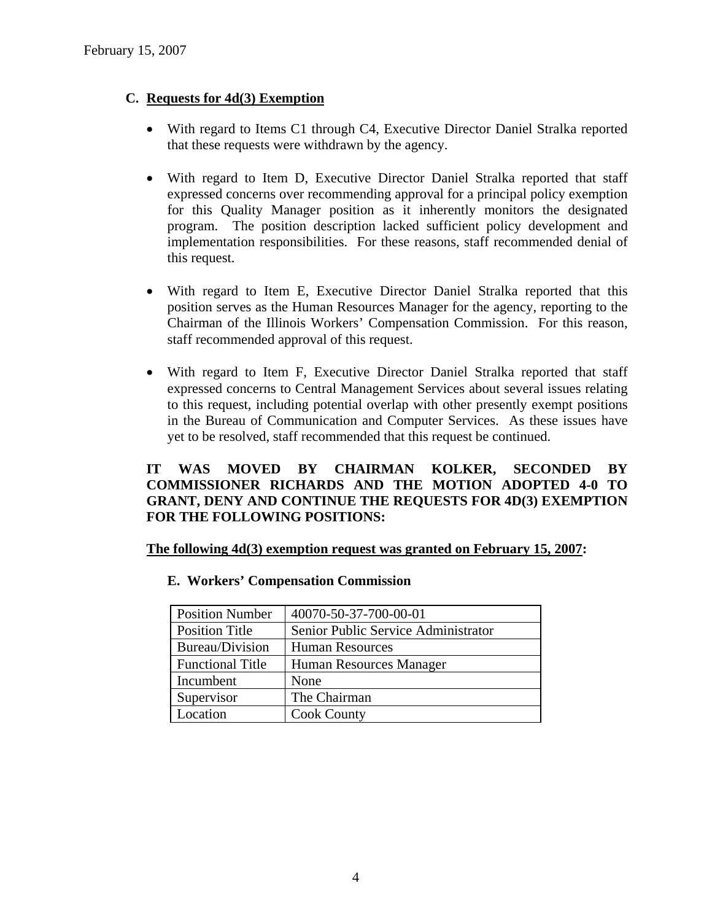### **C. Requests for 4d(3) Exemption**

- With regard to Items C1 through C4, Executive Director Daniel Stralka reported that these requests were withdrawn by the agency.
- With regard to Item D, Executive Director Daniel Stralka reported that staff expressed concerns over recommending approval for a principal policy exemption for this Quality Manager position as it inherently monitors the designated program. The position description lacked sufficient policy development and implementation responsibilities. For these reasons, staff recommended denial of this request.
- With regard to Item E, Executive Director Daniel Stralka reported that this position serves as the Human Resources Manager for the agency, reporting to the Chairman of the Illinois Workers' Compensation Commission. For this reason, staff recommended approval of this request.
- With regard to Item F, Executive Director Daniel Stralka reported that staff expressed concerns to Central Management Services about several issues relating to this request, including potential overlap with other presently exempt positions in the Bureau of Communication and Computer Services. As these issues have yet to be resolved, staff recommended that this request be continued.

### **IT WAS MOVED BY CHAIRMAN KOLKER, SECONDED BY COMMISSIONER RICHARDS AND THE MOTION ADOPTED 4-0 TO GRANT, DENY AND CONTINUE THE REQUESTS FOR 4D(3) EXEMPTION FOR THE FOLLOWING POSITIONS:**

**The following 4d(3) exemption request was granted on February 15, 2007:** 

| <b>Position Number</b>  | 40070-50-37-700-00-01               |
|-------------------------|-------------------------------------|
| <b>Position Title</b>   | Senior Public Service Administrator |
| Bureau/Division         | <b>Human Resources</b>              |
| <b>Functional Title</b> | Human Resources Manager             |
| Incumbent               | None                                |
| Supervisor              | The Chairman                        |
| Location                | <b>Cook County</b>                  |

#### **E. Workers' Compensation Commission**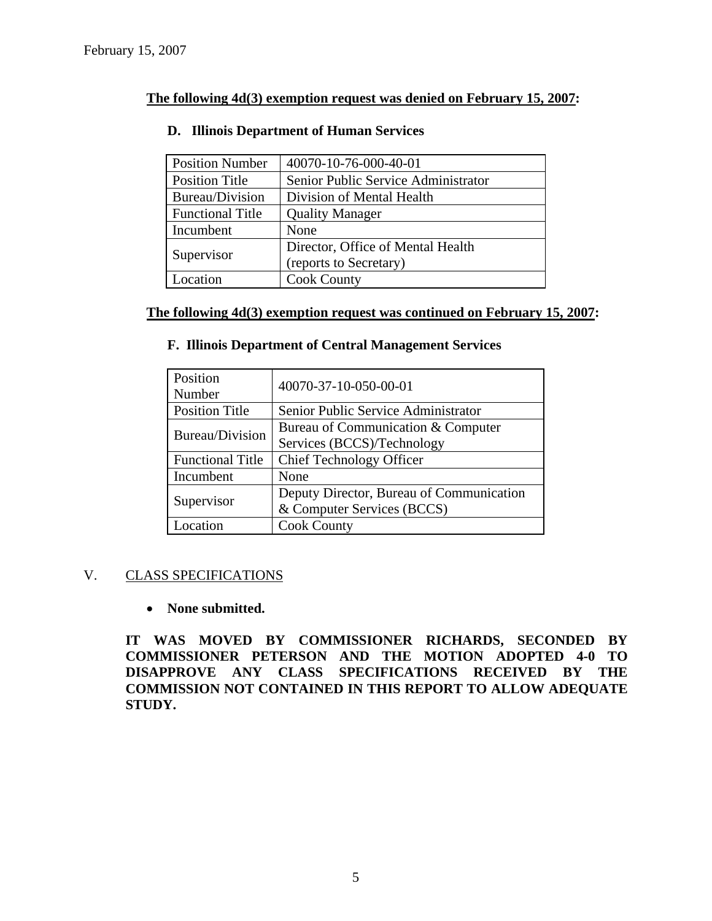### **The following 4d(3) exemption request was denied on February 15, 2007:**

| <b>Position Number</b>  | 40070-10-76-000-40-01               |
|-------------------------|-------------------------------------|
| <b>Position Title</b>   | Senior Public Service Administrator |
| Bureau/Division         | Division of Mental Health           |
| <b>Functional Title</b> | <b>Quality Manager</b>              |
| Incumbent               | None                                |
|                         | Director, Office of Mental Health   |
| Supervisor              | (reports to Secretary)              |
| Location                | <b>Cook County</b>                  |

### **D. Illinois Department of Human Services**

### **The following 4d(3) exemption request was continued on February 15, 2007:**

### **F. Illinois Department of Central Management Services**

| Position<br>Number      | 40070-37-10-050-00-01                    |
|-------------------------|------------------------------------------|
| <b>Position Title</b>   | Senior Public Service Administrator      |
| Bureau/Division         | Bureau of Communication & Computer       |
|                         | Services (BCCS)/Technology               |
| <b>Functional Title</b> | <b>Chief Technology Officer</b>          |
| Incumbent               | None                                     |
| Supervisor              | Deputy Director, Bureau of Communication |
|                         | & Computer Services (BCCS)               |
| <b>Location</b>         | <b>Cook County</b>                       |

### V. CLASS SPECIFICATIONS

### • **None submitted.**

**IT WAS MOVED BY COMMISSIONER RICHARDS, SECONDED BY COMMISSIONER PETERSON AND THE MOTION ADOPTED 4-0 TO DISAPPROVE ANY CLASS SPECIFICATIONS RECEIVED BY THE COMMISSION NOT CONTAINED IN THIS REPORT TO ALLOW ADEQUATE STUDY.**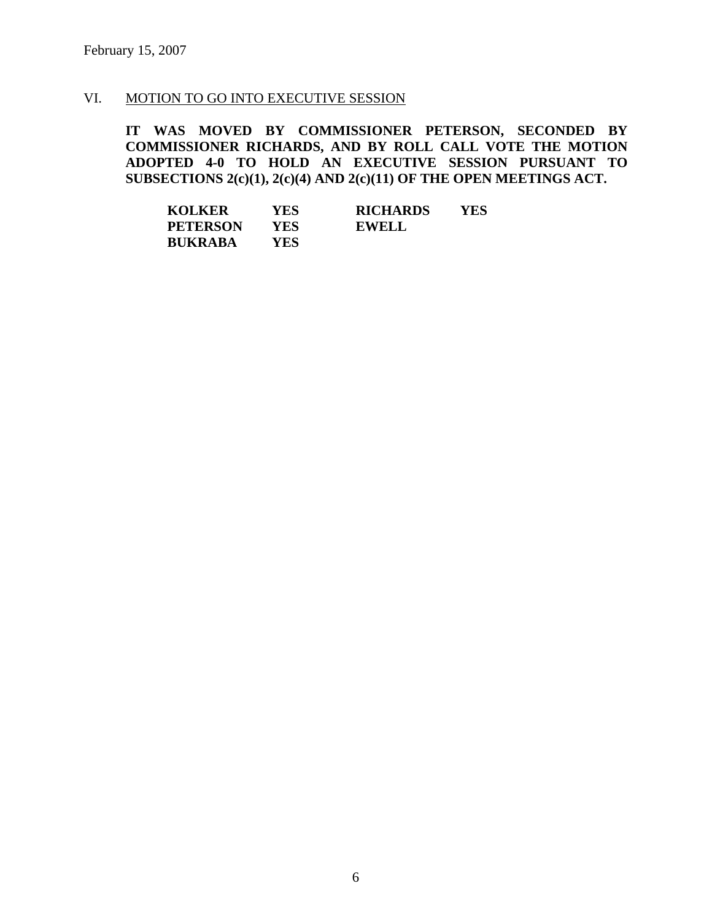### VI. MOTION TO GO INTO EXECUTIVE SESSION

**IT WAS MOVED BY COMMISSIONER PETERSON, SECONDED BY COMMISSIONER RICHARDS, AND BY ROLL CALL VOTE THE MOTION ADOPTED 4-0 TO HOLD AN EXECUTIVE SESSION PURSUANT TO SUBSECTIONS 2(c)(1), 2(c)(4) AND 2(c)(11) OF THE OPEN MEETINGS ACT.** 

| <b>KOLKER</b>   | YES | <b>RICHARDS</b> | <b>YES</b> |
|-----------------|-----|-----------------|------------|
| <b>PETERSON</b> | YES | <b>EWELL</b>    |            |
| <b>BUKRABA</b>  | YES |                 |            |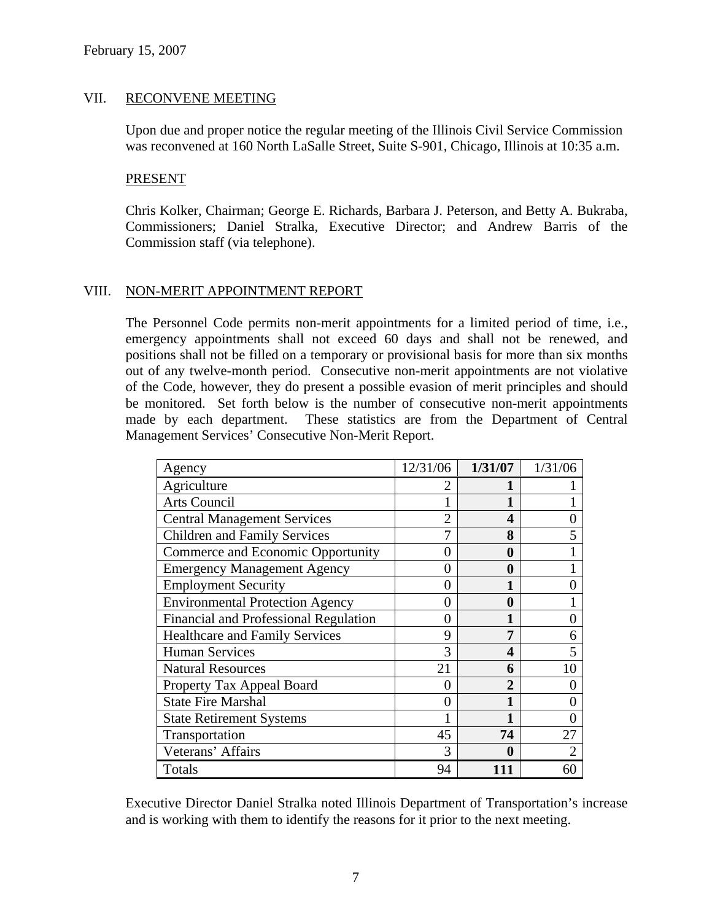### VII. RECONVENE MEETING

Upon due and proper notice the regular meeting of the Illinois Civil Service Commission was reconvened at 160 North LaSalle Street, Suite S-901, Chicago, Illinois at 10:35 a.m.

#### PRESENT

Chris Kolker, Chairman; George E. Richards, Barbara J. Peterson, and Betty A. Bukraba, Commissioners; Daniel Stralka, Executive Director; and Andrew Barris of the Commission staff (via telephone).

### VIII. NON-MERIT APPOINTMENT REPORT

The Personnel Code permits non-merit appointments for a limited period of time, i.e., emergency appointments shall not exceed 60 days and shall not be renewed, and positions shall not be filled on a temporary or provisional basis for more than six months out of any twelve-month period. Consecutive non-merit appointments are not violative of the Code, however, they do present a possible evasion of merit principles and should be monitored. Set forth below is the number of consecutive non-merit appointments made by each department. These statistics are from the Department of Central Management Services' Consecutive Non-Merit Report.

| Agency                                 | 12/31/06      | 1/31/07        | 1/31/06 |
|----------------------------------------|---------------|----------------|---------|
| Agriculture                            |               |                |         |
| <b>Arts Council</b>                    |               |                |         |
| <b>Central Management Services</b>     |               | 4              |         |
| <b>Children and Family Services</b>    |               | 8              |         |
| Commerce and Economic Opportunity      | 0             | 0              |         |
| <b>Emergency Management Agency</b>     | 0             | $\bf{0}$       |         |
| <b>Employment Security</b>             | 0             |                |         |
| <b>Environmental Protection Agency</b> | 0             | 0              |         |
| Financial and Professional Regulation  | $\theta$      |                |         |
| <b>Healthcare and Family Services</b>  | 9             | 7              | 6       |
| <b>Human Services</b>                  | 3             | 4              | 5       |
| <b>Natural Resources</b>               | 21            | 6              | 10      |
| Property Tax Appeal Board              |               | $\overline{2}$ |         |
| <b>State Fire Marshal</b>              | 0             | 1              |         |
| <b>State Retirement Systems</b>        |               | 1              |         |
| Transportation                         | 45            | 74             | 27      |
| Veterans' Affairs                      | $\mathcal{R}$ | 0              |         |
| Totals                                 | 94            |                | 60      |

Executive Director Daniel Stralka noted Illinois Department of Transportation's increase and is working with them to identify the reasons for it prior to the next meeting.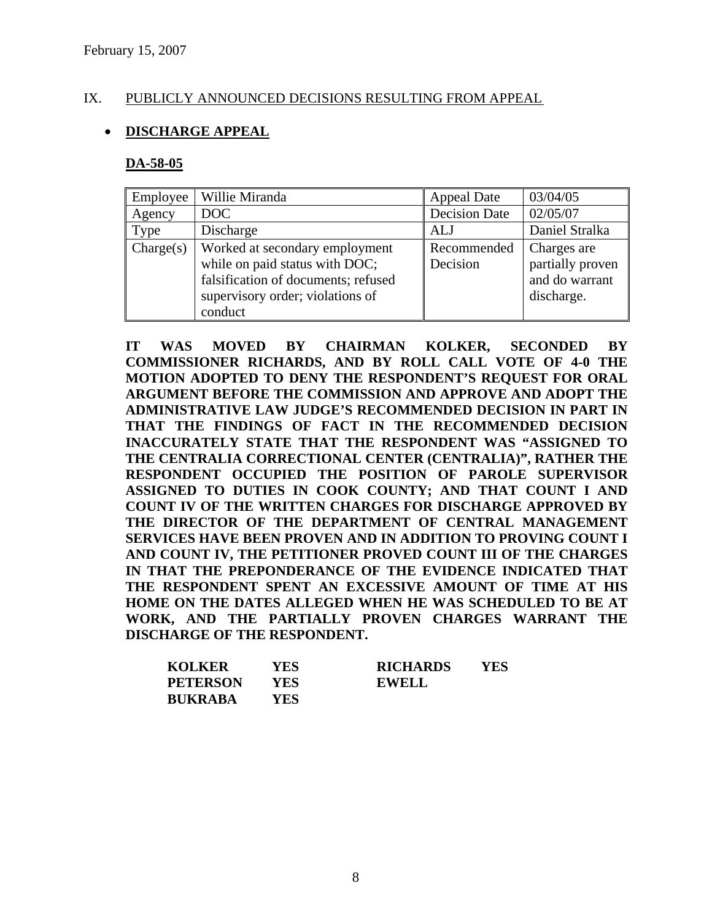### IX. PUBLICLY ANNOUNCED DECISIONS RESULTING FROM APPEAL

### • **DISCHARGE APPEAL**

#### **DA-58-05**

| Employee  | Willie Miranda                                                                                                                                         | Appeal Date             | 03/04/05                                                        |
|-----------|--------------------------------------------------------------------------------------------------------------------------------------------------------|-------------------------|-----------------------------------------------------------------|
| Agency    | DOC                                                                                                                                                    | <b>Decision Date</b>    | 02/05/07                                                        |
| Type      | Discharge                                                                                                                                              | ALJ                     | Daniel Stralka                                                  |
| Change(s) | Worked at secondary employment<br>while on paid status with DOC;<br>falsification of documents; refused<br>supervisory order; violations of<br>conduct | Recommended<br>Decision | Charges are<br>partially proven<br>and do warrant<br>discharge. |

**IT WAS MOVED BY CHAIRMAN KOLKER, SECONDED BY COMMISSIONER RICHARDS, AND BY ROLL CALL VOTE OF 4-0 THE MOTION ADOPTED TO DENY THE RESPONDENT'S REQUEST FOR ORAL ARGUMENT BEFORE THE COMMISSION AND APPROVE AND ADOPT THE ADMINISTRATIVE LAW JUDGE'S RECOMMENDED DECISION IN PART IN THAT THE FINDINGS OF FACT IN THE RECOMMENDED DECISION INACCURATELY STATE THAT THE RESPONDENT WAS "ASSIGNED TO THE CENTRALIA CORRECTIONAL CENTER (CENTRALIA)", RATHER THE RESPONDENT OCCUPIED THE POSITION OF PAROLE SUPERVISOR ASSIGNED TO DUTIES IN COOK COUNTY; AND THAT COUNT I AND COUNT IV OF THE WRITTEN CHARGES FOR DISCHARGE APPROVED BY THE DIRECTOR OF THE DEPARTMENT OF CENTRAL MANAGEMENT SERVICES HAVE BEEN PROVEN AND IN ADDITION TO PROVING COUNT I AND COUNT IV, THE PETITIONER PROVED COUNT III OF THE CHARGES IN THAT THE PREPONDERANCE OF THE EVIDENCE INDICATED THAT THE RESPONDENT SPENT AN EXCESSIVE AMOUNT OF TIME AT HIS HOME ON THE DATES ALLEGED WHEN HE WAS SCHEDULED TO BE AT WORK, AND THE PARTIALLY PROVEN CHARGES WARRANT THE DISCHARGE OF THE RESPONDENT.** 

| <b>KOLKER</b>   | YES  | <b>RICHARDS</b> | YES |
|-----------------|------|-----------------|-----|
| <b>PETERSON</b> | YES. | <b>EWELL</b>    |     |
| <b>BUKRABA</b>  | YES  |                 |     |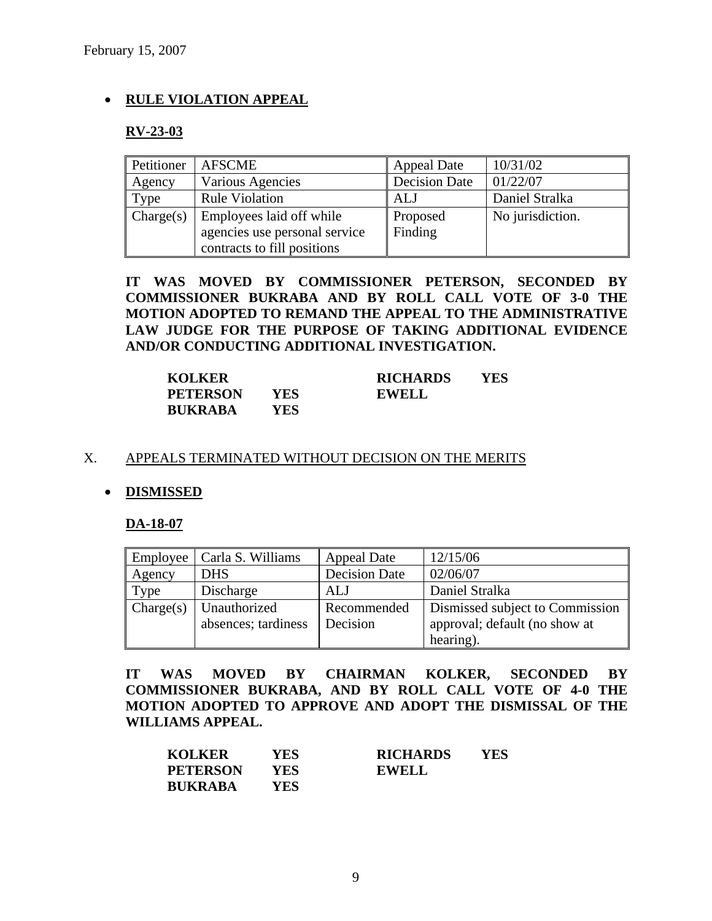### • **RULE VIOLATION APPEAL**

#### **RV-23-03**

| Petitioner | <b>AFSCME</b>                                                                            | <b>Appeal Date</b>   | 10/31/02         |
|------------|------------------------------------------------------------------------------------------|----------------------|------------------|
| Agency     | Various Agencies                                                                         | <b>Decision Date</b> | 01/22/07         |
| Type       | <b>Rule Violation</b>                                                                    | ALJ                  | Daniel Stralka   |
| Change(s)  | Employees laid off while<br>agencies use personal service<br>contracts to fill positions | Proposed<br>Finding  | No jurisdiction. |

**IT WAS MOVED BY COMMISSIONER PETERSON, SECONDED BY COMMISSIONER BUKRABA AND BY ROLL CALL VOTE OF 3-0 THE MOTION ADOPTED TO REMAND THE APPEAL TO THE ADMINISTRATIVE LAW JUDGE FOR THE PURPOSE OF TAKING ADDITIONAL EVIDENCE AND/OR CONDUCTING ADDITIONAL INVESTIGATION.** 

| <b>KOLKER</b>   |      | <b>RICHARDS</b> | YES |
|-----------------|------|-----------------|-----|
| <b>PETERSON</b> | YES. | <b>EWELL</b>    |     |
| <b>BUKRABA</b>  | YES. |                 |     |

#### X. APPEALS TERMINATED WITHOUT DECISION ON THE MERITS

#### • **DISMISSED**

#### **DA-18-07**

| Employee  | Carla S. Williams   | <b>Appeal Date</b>   | 12/15/06                        |
|-----------|---------------------|----------------------|---------------------------------|
| Agency    | <b>DHS</b>          | <b>Decision Date</b> | 02/06/07                        |
| Type      | Discharge           | ALJ                  | Daniel Stralka                  |
| Change(s) | Unauthorized        | Recommended          | Dismissed subject to Commission |
|           | absences; tardiness | Decision             | approval; default (no show at   |
|           |                     |                      | hearing).                       |

**IT WAS MOVED BY CHAIRMAN KOLKER, SECONDED BY COMMISSIONER BUKRABA, AND BY ROLL CALL VOTE OF 4-0 THE MOTION ADOPTED TO APPROVE AND ADOPT THE DISMISSAL OF THE WILLIAMS APPEAL.** 

| <b>KOLKER</b>   | YES  | <b>RICHARDS</b> | YES |
|-----------------|------|-----------------|-----|
| <b>PETERSON</b> | YES  | <b>EWELL</b>    |     |
| <b>BUKRABA</b>  | YES. |                 |     |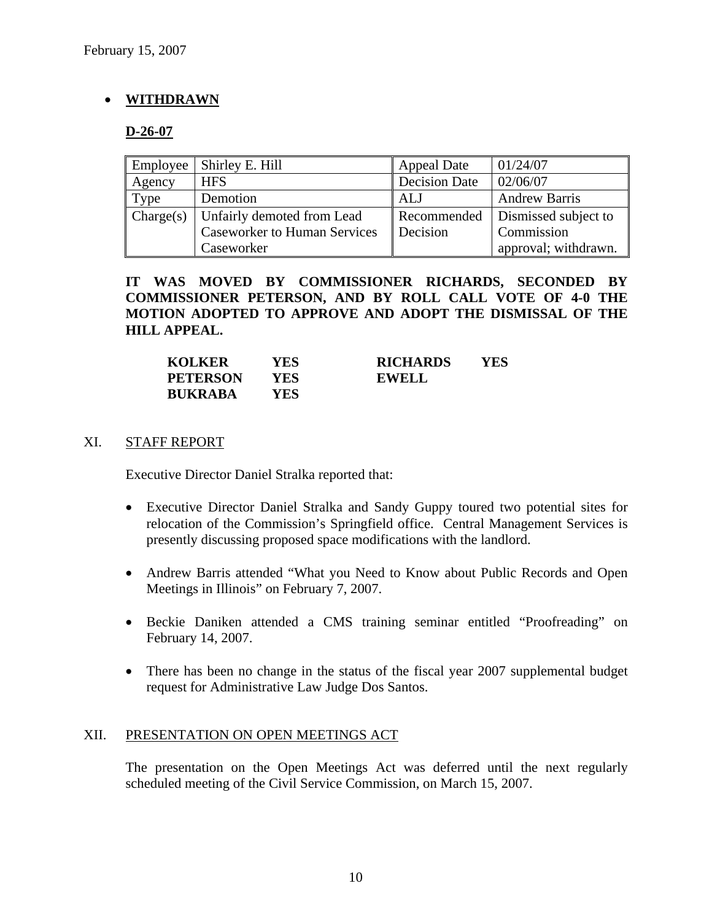## • **WITHDRAWN**

### **D-26-07**

| Employee  | Shirley E. Hill                     | <b>Appeal Date</b>   | 01/24/07             |
|-----------|-------------------------------------|----------------------|----------------------|
| Agency    | <b>HFS</b>                          | <b>Decision Date</b> | 02/06/07             |
| Type      | Demotion                            | ALJ                  | <b>Andrew Barris</b> |
| Change(s) | Unfairly demoted from Lead          | Recommended          | Dismissed subject to |
|           | <b>Caseworker to Human Services</b> | Decision             | Commission           |
|           | Caseworker                          |                      | approval; withdrawn. |

**IT WAS MOVED BY COMMISSIONER RICHARDS, SECONDED BY COMMISSIONER PETERSON, AND BY ROLL CALL VOTE OF 4-0 THE MOTION ADOPTED TO APPROVE AND ADOPT THE DISMISSAL OF THE HILL APPEAL.** 

| <b>KOLKER</b>   | YES | <b>RICHARDS</b> | YES |
|-----------------|-----|-----------------|-----|
| <b>PETERSON</b> | YES | <b>EWELL</b>    |     |
| <b>BUKRABA</b>  | YES |                 |     |

### XI. STAFF REPORT

Executive Director Daniel Stralka reported that:

- Executive Director Daniel Stralka and Sandy Guppy toured two potential sites for relocation of the Commission's Springfield office. Central Management Services is presently discussing proposed space modifications with the landlord.
- Andrew Barris attended "What you Need to Know about Public Records and Open Meetings in Illinois" on February 7, 2007.
- Beckie Daniken attended a CMS training seminar entitled "Proofreading" on February 14, 2007.
- There has been no change in the status of the fiscal year 2007 supplemental budget request for Administrative Law Judge Dos Santos.

#### XII. PRESENTATION ON OPEN MEETINGS ACT

The presentation on the Open Meetings Act was deferred until the next regularly scheduled meeting of the Civil Service Commission, on March 15, 2007.